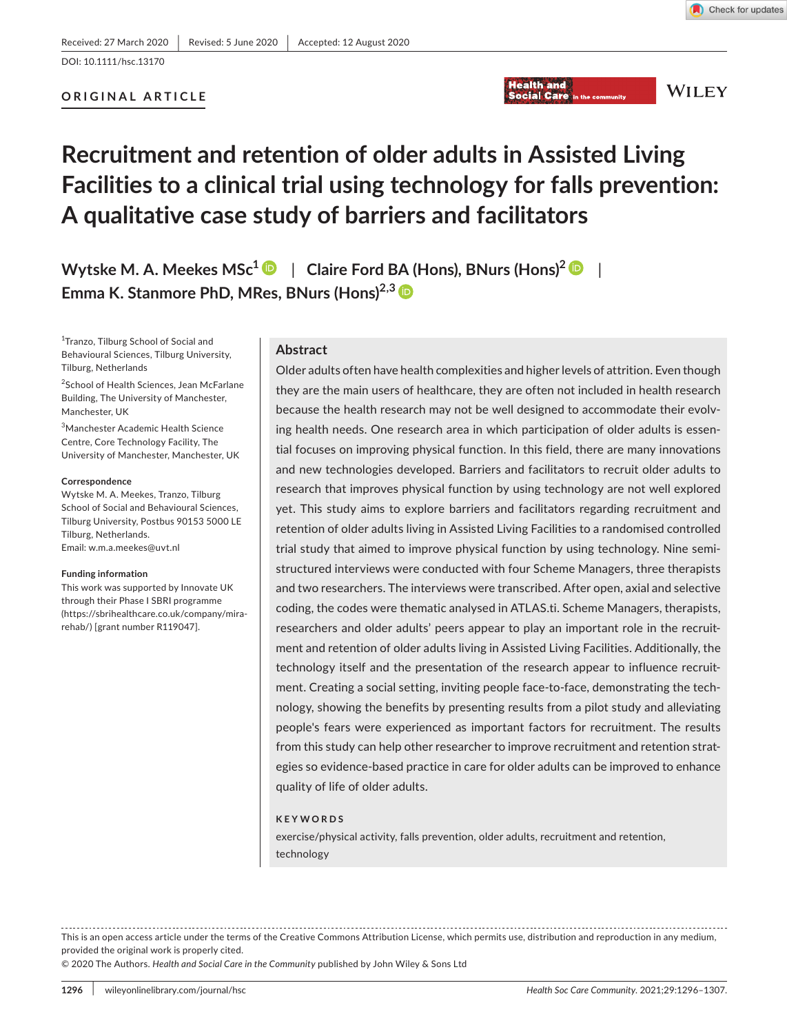## DOI: 10.1111/hsc.13170

## **ORIGINAL ARTICLE**



**WILEY** 

# **Recruitment and retention of older adults in Assisted Living Facilities to a clinical trial using technology for falls prevention: A qualitative case study of barriers and facilitators**

**Wytske M. A. Meekes MSc[1](https://orcid.org/0000-0002-7806-9871)** | **Claire Ford BA (Hons), BNurs (Hons)[2](https://orcid.org/0000-0003-2950-1565)** | **Emma K. Stanmore PhD, MRes, BNurs (Hons)<sup>2,[3](https://orcid.org/0000-0002-4522-5292)</sup>** 

<sup>1</sup>Tranzo, Tilburg School of Social and Behavioural Sciences, Tilburg University, Tilburg, Netherlands

2 School of Health Sciences, Jean McFarlane Building, The University of Manchester, Manchester, UK

3 Manchester Academic Health Science Centre, Core Technology Facility, The University of Manchester, Manchester, UK

#### **Correspondence**

Wytske M. A. Meekes, Tranzo, Tilburg School of Social and Behavioural Sciences, Tilburg University, Postbus 90153 5000 LE Tilburg, Netherlands. Email: [w.m.a.meekes@uvt.nl](mailto:w.m.a.meekes@uvt.nl)

#### **Funding information**

This work was supported by Innovate UK through their Phase I SBRI programme [\(https://sbrihealthcare.co.uk/company/mira](https://sbrihealthcare.co.uk/company/mira-rehab/)[rehab/\)](https://sbrihealthcare.co.uk/company/mira-rehab/) [grant number R119047].

#### **Abstract**

Older adults often have health complexities and higher levels of attrition. Even though they are the main users of healthcare, they are often not included in health research because the health research may not be well designed to accommodate their evolving health needs. One research area in which participation of older adults is essential focuses on improving physical function. In this field, there are many innovations and new technologies developed. Barriers and facilitators to recruit older adults to research that improves physical function by using technology are not well explored yet. This study aims to explore barriers and facilitators regarding recruitment and retention of older adults living in Assisted Living Facilities to a randomised controlled trial study that aimed to improve physical function by using technology. Nine semistructured interviews were conducted with four Scheme Managers, three therapists and two researchers. The interviews were transcribed. After open, axial and selective coding, the codes were thematic analysed in ATLAS.ti. Scheme Managers, therapists, researchers and older adults' peers appear to play an important role in the recruitment and retention of older adults living in Assisted Living Facilities. Additionally, the technology itself and the presentation of the research appear to influence recruitment. Creating a social setting, inviting people face-to-face, demonstrating the technology, showing the benefits by presenting results from a pilot study and alleviating people's fears were experienced as important factors for recruitment. The results from this study can help other researcher to improve recruitment and retention strategies so evidence-based practice in care for older adults can be improved to enhance quality of life of older adults.

#### **KEYWORDS**

exercise/physical activity, falls prevention, older adults, recruitment and retention, technology

This is an open access article under the terms of the [Creative Commons Attribution](http://creativecommons.org/licenses/by/4.0/) License, which permits use, distribution and reproduction in any medium, provided the original work is properly cited.

© 2020 The Authors. *Health and Social Care in the Community* published by John Wiley & Sons Ltd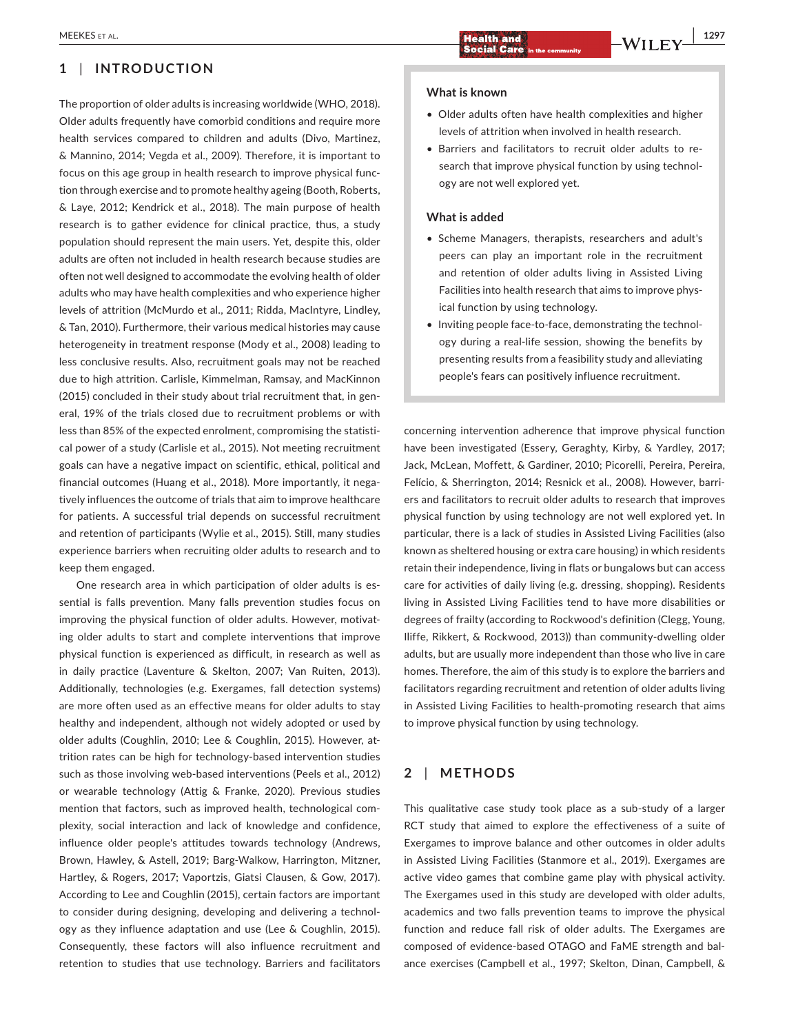keep them engaged.

The proportion of older adults is increasing worldwide (WHO, 2018). Older adults frequently have comorbid conditions and require more health services compared to children and adults (Divo, Martinez, & Mannino, 2014; Vegda et al., 2009). Therefore, it is important to focus on this age group in health research to improve physical function through exercise and to promote healthy ageing (Booth, Roberts, & Laye, 2012; Kendrick et al., 2018). The main purpose of health research is to gather evidence for clinical practice, thus, a study population should represent the main users. Yet, despite this, older adults are often not included in health research because studies are often not well designed to accommodate the evolving health of older adults who may have health complexities and who experience higher levels of attrition (McMurdo et al., 2011; Ridda, MacIntyre, Lindley, & Tan, 2010). Furthermore, their various medical histories may cause heterogeneity in treatment response (Mody et al., 2008) leading to less conclusive results. Also, recruitment goals may not be reached due to high attrition. Carlisle, Kimmelman, Ramsay, and MacKinnon (2015) concluded in their study about trial recruitment that, in general, 19% of the trials closed due to recruitment problems or with less than 85% of the expected enrolment, compromising the statistical power of a study (Carlisle et al., 2015). Not meeting recruitment goals can have a negative impact on scientific, ethical, political and financial outcomes (Huang et al., 2018). More importantly, it negatively influences the outcome of trials that aim to improve healthcare for patients. A successful trial depends on successful recruitment and retention of participants (Wylie et al., 2015). Still, many studies experience barriers when recruiting older adults to research and to

One research area in which participation of older adults is essential is falls prevention. Many falls prevention studies focus on improving the physical function of older adults. However, motivating older adults to start and complete interventions that improve physical function is experienced as difficult, in research as well as in daily practice (Laventure & Skelton, 2007; Van Ruiten, 2013). Additionally, technologies (e.g. Exergames, fall detection systems) are more often used as an effective means for older adults to stay healthy and independent, although not widely adopted or used by older adults (Coughlin, 2010; Lee & Coughlin, 2015). However, attrition rates can be high for technology-based intervention studies such as those involving web-based interventions (Peels et al., 2012) or wearable technology (Attig & Franke, 2020). Previous studies mention that factors, such as improved health, technological complexity, social interaction and lack of knowledge and confidence, influence older people's attitudes towards technology (Andrews, Brown, Hawley, & Astell, 2019; Barg-Walkow, Harrington, Mitzner, Hartley, & Rogers, 2017; Vaportzis, Giatsi Clausen, & Gow, 2017). According to Lee and Coughlin (2015), certain factors are important to consider during designing, developing and delivering a technology as they influence adaptation and use (Lee & Coughlin, 2015). Consequently, these factors will also influence recruitment and retention to studies that use technology. Barriers and facilitators

#### **What is known**

- Older adults often have health complexities and higher levels of attrition when involved in health research.
- Barriers and facilitators to recruit older adults to research that improve physical function by using technology are not well explored yet.

#### **What is added**

- Scheme Managers, therapists, researchers and adult's peers can play an important role in the recruitment and retention of older adults living in Assisted Living Facilities into health research that aims to improve physical function by using technology.
- Inviting people face-to-face, demonstrating the technology during a real-life session, showing the benefits by presenting results from a feasibility study and alleviating people's fears can positively influence recruitment.

concerning intervention adherence that improve physical function have been investigated (Essery, Geraghty, Kirby, & Yardley, 2017; Jack, McLean, Moffett, & Gardiner, 2010; Picorelli, Pereira, Pereira, Felício, & Sherrington, 2014; Resnick et al., 2008). However, barriers and facilitators to recruit older adults to research that improves physical function by using technology are not well explored yet. In particular, there is a lack of studies in Assisted Living Facilities (also known as sheltered housing or extra care housing) in which residents retain their independence, living in flats or bungalows but can access care for activities of daily living (e.g. dressing, shopping). Residents living in Assisted Living Facilities tend to have more disabilities or degrees of frailty (according to Rockwood's definition (Clegg, Young, Iliffe, Rikkert, & Rockwood, 2013)) than community-dwelling older adults, but are usually more independent than those who live in care homes. Therefore, the aim of this study is to explore the barriers and facilitators regarding recruitment and retention of older adults living in Assisted Living Facilities to health-promoting research that aims to improve physical function by using technology.

## **2** | **METHODS**

This qualitative case study took place as a sub-study of a larger RCT study that aimed to explore the effectiveness of a suite of Exergames to improve balance and other outcomes in older adults in Assisted Living Facilities (Stanmore et al., 2019). Exergames are active video games that combine game play with physical activity. The Exergames used in this study are developed with older adults, academics and two falls prevention teams to improve the physical function and reduce fall risk of older adults. The Exergames are composed of evidence-based OTAGO and FaME strength and balance exercises (Campbell et al., 1997; Skelton, Dinan, Campbell, &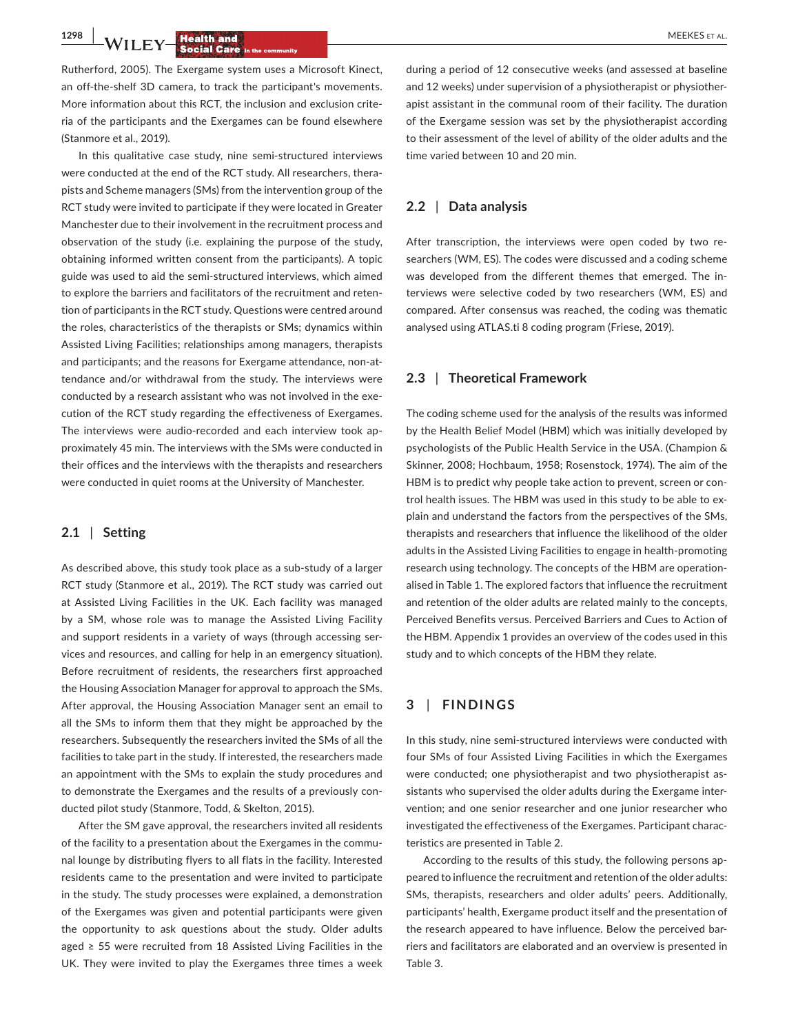**1298 | IA/II F.Y. Health and** *n n n n n n n n n n n n n n n n n n n n n n n n n n n n n n n*

Rutherford, 2005). The Exergame system uses a Microsoft Kinect, an off-the-shelf 3D camera, to track the participant's movements. More information about this RCT, the inclusion and exclusion criteria of the participants and the Exergames can be found elsewhere (Stanmore et al., 2019).

In this qualitative case study, nine semi-structured interviews were conducted at the end of the RCT study. All researchers, therapists and Scheme managers (SMs) from the intervention group of the RCT study were invited to participate if they were located in Greater Manchester due to their involvement in the recruitment process and observation of the study (i.e. explaining the purpose of the study, obtaining informed written consent from the participants). A topic guide was used to aid the semi-structured interviews, which aimed to explore the barriers and facilitators of the recruitment and retention of participants in the RCT study. Questions were centred around the roles, characteristics of the therapists or SMs; dynamics within Assisted Living Facilities; relationships among managers, therapists and participants; and the reasons for Exergame attendance, non-attendance and/or withdrawal from the study. The interviews were conducted by a research assistant who was not involved in the execution of the RCT study regarding the effectiveness of Exergames. The interviews were audio-recorded and each interview took approximately 45 min. The interviews with the SMs were conducted in their offices and the interviews with the therapists and researchers were conducted in quiet rooms at the University of Manchester.

#### **2.1** | **Setting**

As described above, this study took place as a sub-study of a larger RCT study (Stanmore et al., 2019). The RCT study was carried out at Assisted Living Facilities in the UK. Each facility was managed by a SM, whose role was to manage the Assisted Living Facility and support residents in a variety of ways (through accessing services and resources, and calling for help in an emergency situation). Before recruitment of residents, the researchers first approached the Housing Association Manager for approval to approach the SMs. After approval, the Housing Association Manager sent an email to all the SMs to inform them that they might be approached by the researchers. Subsequently the researchers invited the SMs of all the facilities to take part in the study. If interested, the researchers made an appointment with the SMs to explain the study procedures and to demonstrate the Exergames and the results of a previously conducted pilot study (Stanmore, Todd, & Skelton, 2015).

After the SM gave approval, the researchers invited all residents of the facility to a presentation about the Exergames in the communal lounge by distributing flyers to all flats in the facility. Interested residents came to the presentation and were invited to participate in the study. The study processes were explained, a demonstration of the Exergames was given and potential participants were given the opportunity to ask questions about the study. Older adults aged ≥ 55 were recruited from 18 Assisted Living Facilities in the UK. They were invited to play the Exergames three times a week

during a period of 12 consecutive weeks (and assessed at baseline and 12 weeks) under supervision of a physiotherapist or physiotherapist assistant in the communal room of their facility. The duration of the Exergame session was set by the physiotherapist according to their assessment of the level of ability of the older adults and the time varied between 10 and 20 min.

## **2.2** | **Data analysis**

After transcription, the interviews were open coded by two researchers (WM, ES). The codes were discussed and a coding scheme was developed from the different themes that emerged. The interviews were selective coded by two researchers (WM, ES) and compared. After consensus was reached, the coding was thematic analysed using ATLAS.ti 8 coding program (Friese, 2019).

## **2.3** | **Theoretical Framework**

The coding scheme used for the analysis of the results was informed by the Health Belief Model (HBM) which was initially developed by psychologists of the Public Health Service in the USA. (Champion & Skinner, 2008; Hochbaum, 1958; Rosenstock, 1974). The aim of the HBM is to predict why people take action to prevent, screen or control health issues. The HBM was used in this study to be able to explain and understand the factors from the perspectives of the SMs, therapists and researchers that influence the likelihood of the older adults in the Assisted Living Facilities to engage in health-promoting research using technology. The concepts of the HBM are operationalised in Table 1. The explored factors that influence the recruitment and retention of the older adults are related mainly to the concepts, Perceived Benefits versus. Perceived Barriers and Cues to Action of the HBM. Appendix 1 provides an overview of the codes used in this study and to which concepts of the HBM they relate.

## **3** | **FINDINGS**

In this study, nine semi-structured interviews were conducted with four SMs of four Assisted Living Facilities in which the Exergames were conducted; one physiotherapist and two physiotherapist assistants who supervised the older adults during the Exergame intervention; and one senior researcher and one junior researcher who investigated the effectiveness of the Exergames. Participant characteristics are presented in Table 2.

According to the results of this study, the following persons appeared to influence the recruitment and retention of the older adults: SMs, therapists, researchers and older adults' peers. Additionally, participants' health, Exergame product itself and the presentation of the research appeared to have influence. Below the perceived barriers and facilitators are elaborated and an overview is presented in Table 3.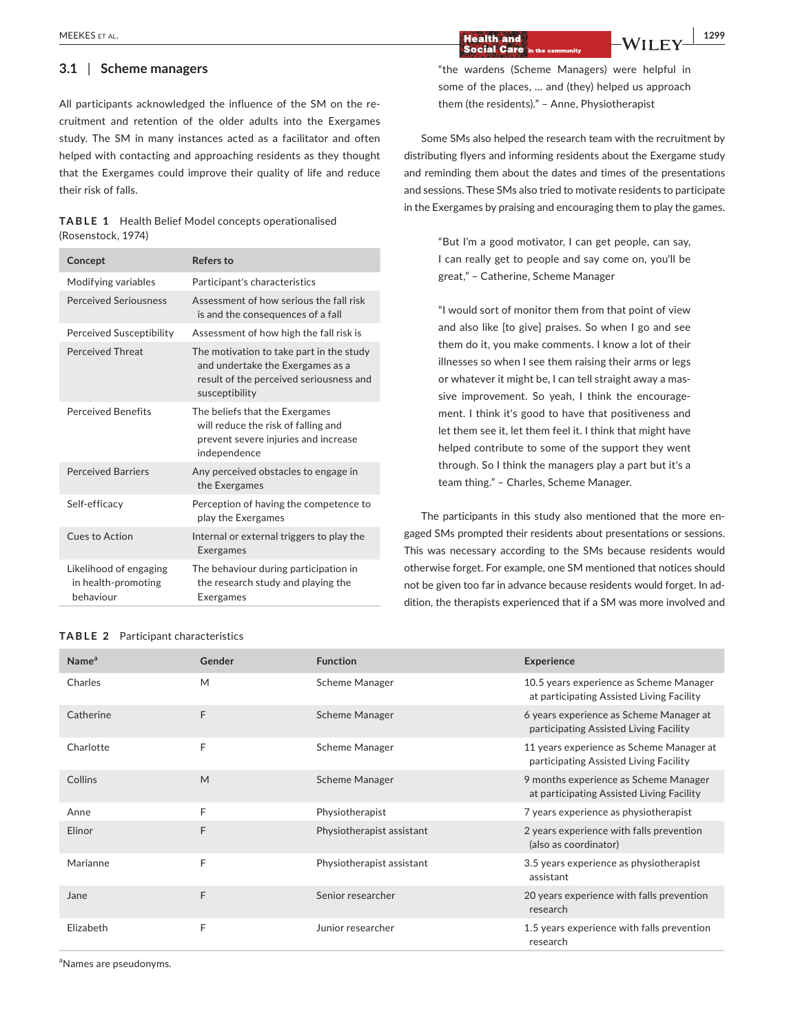## **3.1** | **Scheme managers**

All participants acknowledged the influence of the SM on the recruitment and retention of the older adults into the Exergames study. The SM in many instances acted as a facilitator and often helped with contacting and approaching residents as they thought that the Exergames could improve their quality of life and reduce their risk of falls.

**TABLE 1** Health Belief Model concepts operationalised (Rosenstock, 1974)

| Concept                                                    | Refers to                                                                                                                                 |
|------------------------------------------------------------|-------------------------------------------------------------------------------------------------------------------------------------------|
| Modifying variables                                        | Participant's characteristics                                                                                                             |
| <b>Perceived Seriousness</b>                               | Assessment of how serious the fall risk<br>is and the consequences of a fall                                                              |
| Perceived Susceptibility                                   | Assessment of how high the fall risk is                                                                                                   |
| Perceived Threat                                           | The motivation to take part in the study<br>and undertake the Exergames as a<br>result of the perceived seriousness and<br>susceptibility |
| <b>Perceived Benefits</b>                                  | The beliefs that the Exergames<br>will reduce the risk of falling and<br>prevent severe injuries and increase<br>independence             |
| <b>Perceived Barriers</b>                                  | Any perceived obstacles to engage in<br>the Exergames                                                                                     |
| Self-efficacy                                              | Perception of having the competence to<br>play the Exergames                                                                              |
| Cues to Action                                             | Internal or external triggers to play the<br>Exergames                                                                                    |
| Likelihood of engaging<br>in health-promoting<br>behaviour | The behaviour during participation in<br>the research study and playing the<br>Exergames                                                  |

#### **TABLE 2** Participant characteristics

"the wardens (Scheme Managers) were helpful in some of the places, … and (they) helped us approach them (the residents)." – Anne, Physiotherapist

Some SMs also helped the research team with the recruitment by distributing flyers and informing residents about the Exergame study and reminding them about the dates and times of the presentations and sessions. These SMs also tried to motivate residents to participate in the Exergames by praising and encouraging them to play the games.

> "But I'm a good motivator, I can get people, can say, I can really get to people and say come on, you'll be great," – Catherine, Scheme Manager

> "I would sort of monitor them from that point of view and also like [to give] praises. So when I go and see them do it, you make comments. I know a lot of their illnesses so when I see them raising their arms or legs or whatever it might be, I can tell straight away a massive improvement. So yeah, I think the encouragement. I think it's good to have that positiveness and let them see it, let them feel it. I think that might have helped contribute to some of the support they went through. So I think the managers play a part but it's a team thing." – Charles, Scheme Manager.

The participants in this study also mentioned that the more engaged SMs prompted their residents about presentations or sessions. This was necessary according to the SMs because residents would otherwise forget. For example, one SM mentioned that notices should not be given too far in advance because residents would forget. In addition, the therapists experienced that if a SM was more involved and

| Name <sup>a</sup> | Gender | <b>Function</b>           | <b>Experience</b>                                                                    |
|-------------------|--------|---------------------------|--------------------------------------------------------------------------------------|
| Charles           | M      | Scheme Manager            | 10.5 years experience as Scheme Manager<br>at participating Assisted Living Facility |
| Catherine         | F      | Scheme Manager            | 6 years experience as Scheme Manager at<br>participating Assisted Living Facility    |
| Charlotte         | F      | Scheme Manager            | 11 years experience as Scheme Manager at<br>participating Assisted Living Facility   |
| Collins           | M      | <b>Scheme Manager</b>     | 9 months experience as Scheme Manager<br>at participating Assisted Living Facility   |
| Anne              | F      | Physiotherapist           | 7 years experience as physiotherapist                                                |
| Elinor            | F      | Physiotherapist assistant | 2 years experience with falls prevention<br>(also as coordinator)                    |
| Marianne          | F      | Physiotherapist assistant | 3.5 years experience as physiotherapist<br>assistant                                 |
| Jane              | F      | Senior researcher         | 20 years experience with falls prevention<br>research                                |
| Elizabeth         | F      | Junior researcher         | 1.5 years experience with falls prevention<br>research                               |

<sup>a</sup>Names are pseudonyms.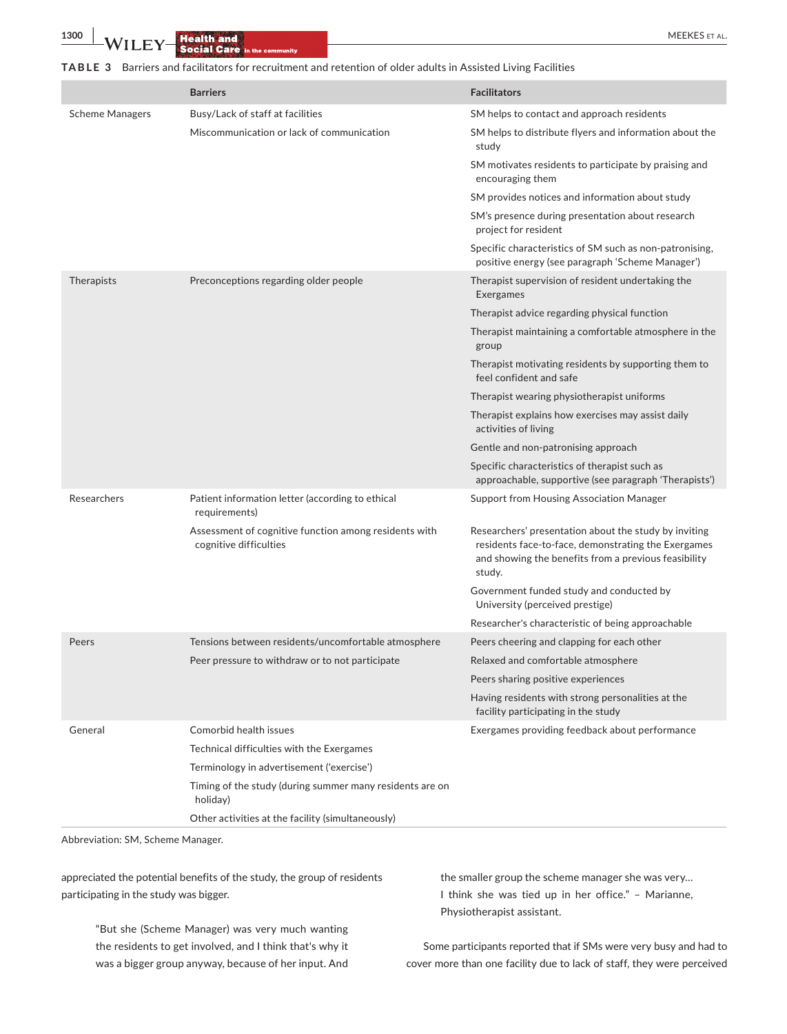| 1300<br>$\mathbf{v}$<br>.<br>community |  |  |  |
|----------------------------------------|--|--|--|
|                                        |  |  |  |

**TABLE 3** Barriers and facilitators for recruitment and retention of older adults in Assisted Living Facilities

|                        | <b>Barriers</b>                                                                 | <b>Facilitators</b>                                                                                                                                                            |
|------------------------|---------------------------------------------------------------------------------|--------------------------------------------------------------------------------------------------------------------------------------------------------------------------------|
| <b>Scheme Managers</b> | Busy/Lack of staff at facilities                                                | SM helps to contact and approach residents                                                                                                                                     |
|                        | Miscommunication or lack of communication                                       | SM helps to distribute flyers and information about the<br>study                                                                                                               |
|                        |                                                                                 | SM motivates residents to participate by praising and<br>encouraging them                                                                                                      |
|                        |                                                                                 | SM provides notices and information about study                                                                                                                                |
|                        |                                                                                 | SM's presence during presentation about research<br>project for resident                                                                                                       |
|                        |                                                                                 | Specific characteristics of SM such as non-patronising,<br>positive energy (see paragraph 'Scheme Manager')                                                                    |
| Therapists             | Preconceptions regarding older people                                           | Therapist supervision of resident undertaking the<br>Exergames                                                                                                                 |
|                        |                                                                                 | Therapist advice regarding physical function                                                                                                                                   |
|                        |                                                                                 | Therapist maintaining a comfortable atmosphere in the<br>group                                                                                                                 |
|                        |                                                                                 | Therapist motivating residents by supporting them to<br>feel confident and safe                                                                                                |
|                        |                                                                                 | Therapist wearing physiotherapist uniforms                                                                                                                                     |
|                        |                                                                                 | Therapist explains how exercises may assist daily<br>activities of living                                                                                                      |
|                        |                                                                                 | Gentle and non-patronising approach                                                                                                                                            |
|                        |                                                                                 | Specific characteristics of therapist such as<br>approachable, supportive (see paragraph 'Therapists')                                                                         |
| Researchers            | Patient information letter (according to ethical<br>requirements)               | Support from Housing Association Manager                                                                                                                                       |
|                        | Assessment of cognitive function among residents with<br>cognitive difficulties | Researchers' presentation about the study by inviting<br>residents face-to-face, demonstrating the Exergames<br>and showing the benefits from a previous feasibility<br>study. |
|                        |                                                                                 | Government funded study and conducted by<br>University (perceived prestige)                                                                                                    |
|                        |                                                                                 | Researcher's characteristic of being approachable                                                                                                                              |
| Peers                  | Tensions between residents/uncomfortable atmosphere                             | Peers cheering and clapping for each other                                                                                                                                     |
|                        | Peer pressure to withdraw or to not participate                                 | Relaxed and comfortable atmosphere                                                                                                                                             |
|                        |                                                                                 | Peers sharing positive experiences                                                                                                                                             |
|                        |                                                                                 | Having residents with strong personalities at the<br>facility participating in the study                                                                                       |
| General                | Comorbid health issues                                                          | Exergames providing feedback about performance                                                                                                                                 |
|                        | Technical difficulties with the Exergames                                       |                                                                                                                                                                                |
|                        | Terminology in advertisement ('exercise')                                       |                                                                                                                                                                                |
|                        | Timing of the study (during summer many residents are on<br>holiday)            |                                                                                                                                                                                |
|                        | Other activities at the facility (simultaneously)                               |                                                                                                                                                                                |

Abbreviation: SM, Scheme Manager.

appreciated the potential benefits of the study, the group of residents participating in the study was bigger.

> "But she (Scheme Manager) was very much wanting the residents to get involved, and I think that's why it was a bigger group anyway, because of her input. And

the smaller group the scheme manager she was very… I think she was tied up in her office." – Marianne, Physiotherapist assistant.

Some participants reported that if SMs were very busy and had to cover more than one facility due to lack of staff, they were perceived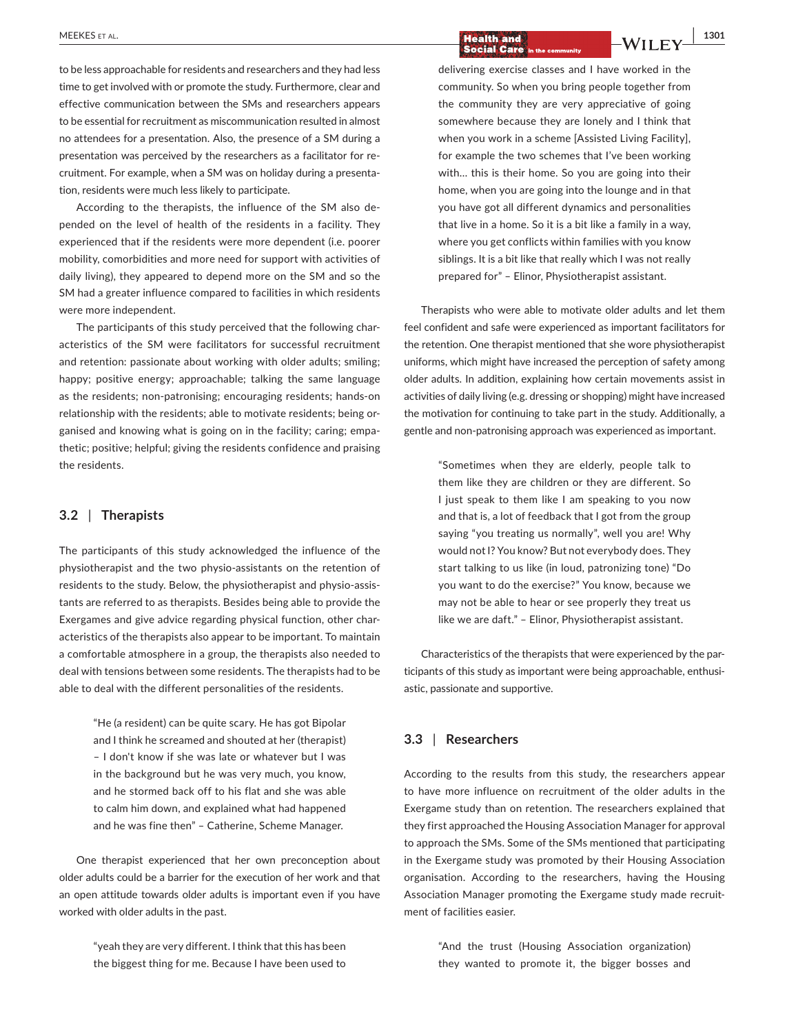to be less approachable for residents and researchers and they had less time to get involved with or promote the study. Furthermore, clear and effective communication between the SMs and researchers appears to be essential for recruitment as miscommunication resulted in almost no attendees for a presentation. Also, the presence of a SM during a presentation was perceived by the researchers as a facilitator for recruitment. For example, when a SM was on holiday during a presentation, residents were much less likely to participate.

According to the therapists, the influence of the SM also depended on the level of health of the residents in a facility. They experienced that if the residents were more dependent (i.e. poorer mobility, comorbidities and more need for support with activities of daily living), they appeared to depend more on the SM and so the SM had a greater influence compared to facilities in which residents were more independent.

The participants of this study perceived that the following characteristics of the SM were facilitators for successful recruitment and retention: passionate about working with older adults; smiling; happy; positive energy; approachable; talking the same language as the residents; non-patronising; encouraging residents; hands-on relationship with the residents; able to motivate residents; being organised and knowing what is going on in the facility; caring; empathetic; positive; helpful; giving the residents confidence and praising the residents.

## **3.2** | **Therapists**

The participants of this study acknowledged the influence of the physiotherapist and the two physio-assistants on the retention of residents to the study. Below, the physiotherapist and physio-assistants are referred to as therapists. Besides being able to provide the Exergames and give advice regarding physical function, other characteristics of the therapists also appear to be important. To maintain a comfortable atmosphere in a group, the therapists also needed to deal with tensions between some residents. The therapists had to be able to deal with the different personalities of the residents.

> "He (a resident) can be quite scary. He has got Bipolar and I think he screamed and shouted at her (therapist) – I don't know if she was late or whatever but I was in the background but he was very much, you know, and he stormed back off to his flat and she was able to calm him down, and explained what had happened and he was fine then" – Catherine, Scheme Manager.

One therapist experienced that her own preconception about older adults could be a barrier for the execution of her work and that an open attitude towards older adults is important even if you have worked with older adults in the past.

> "yeah they are very different. I think that this has been the biggest thing for me. Because I have been used to

 **|** MEEKES et al. **1301**

delivering exercise classes and I have worked in the community. So when you bring people together from the community they are very appreciative of going somewhere because they are lonely and I think that when you work in a scheme [Assisted Living Facility], for example the two schemes that I've been working with… this is their home. So you are going into their home, when you are going into the lounge and in that you have got all different dynamics and personalities that live in a home. So it is a bit like a family in a way, where you get conflicts within families with you know siblings. It is a bit like that really which I was not really prepared for" – Elinor, Physiotherapist assistant.

Therapists who were able to motivate older adults and let them feel confident and safe were experienced as important facilitators for the retention. One therapist mentioned that she wore physiotherapist uniforms, which might have increased the perception of safety among older adults. In addition, explaining how certain movements assist in activities of daily living (e.g. dressing or shopping) might have increased the motivation for continuing to take part in the study. Additionally, a gentle and non-patronising approach was experienced as important.

> "Sometimes when they are elderly, people talk to them like they are children or they are different. So I just speak to them like I am speaking to you now and that is, a lot of feedback that I got from the group saying "you treating us normally", well you are! Why would not I? You know? But not everybody does. They start talking to us like (in loud, patronizing tone) "Do you want to do the exercise?" You know, because we may not be able to hear or see properly they treat us like we are daft." – Elinor, Physiotherapist assistant.

Characteristics of the therapists that were experienced by the participants of this study as important were being approachable, enthusiastic, passionate and supportive.

## **3.3** | **Researchers**

According to the results from this study, the researchers appear to have more influence on recruitment of the older adults in the Exergame study than on retention. The researchers explained that they first approached the Housing Association Manager for approval to approach the SMs. Some of the SMs mentioned that participating in the Exergame study was promoted by their Housing Association organisation. According to the researchers, having the Housing Association Manager promoting the Exergame study made recruitment of facilities easier.

> "And the trust (Housing Association organization) they wanted to promote it, the bigger bosses and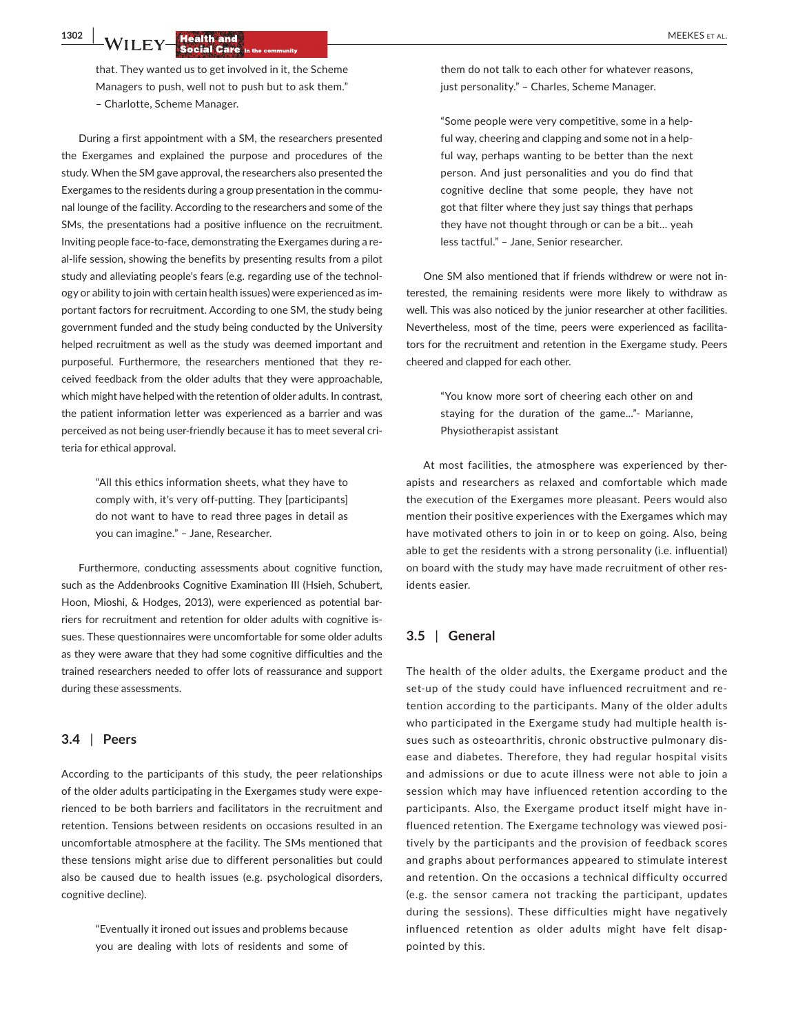**1302 | IA/II F.Y. Health and** *n n n n n n n n n n n n n n n n n n n n n n n n n n n n n n n*

that. They wanted us to get involved in it, the Scheme Managers to push, well not to push but to ask them." – Charlotte, Scheme Manager.

During a first appointment with a SM, the researchers presented the Exergames and explained the purpose and procedures of the study. When the SM gave approval, the researchers also presented the Exergames to the residents during a group presentation in the communal lounge of the facility. According to the researchers and some of the SMs, the presentations had a positive influence on the recruitment. Inviting people face-to-face, demonstrating the Exergames during a real-life session, showing the benefits by presenting results from a pilot study and alleviating people's fears (e.g. regarding use of the technology or ability to join with certain health issues) were experienced as important factors for recruitment. According to one SM, the study being government funded and the study being conducted by the University helped recruitment as well as the study was deemed important and purposeful. Furthermore, the researchers mentioned that they received feedback from the older adults that they were approachable, which might have helped with the retention of older adults. In contrast, the patient information letter was experienced as a barrier and was perceived as not being user-friendly because it has to meet several criteria for ethical approval.

> "All this ethics information sheets, what they have to comply with, it's very off-putting. They [participants] do not want to have to read three pages in detail as you can imagine." – Jane, Researcher.

Furthermore, conducting assessments about cognitive function, such as the Addenbrooks Cognitive Examination III (Hsieh, Schubert, Hoon, Mioshi, & Hodges, 2013), were experienced as potential barriers for recruitment and retention for older adults with cognitive issues. These questionnaires were uncomfortable for some older adults as they were aware that they had some cognitive difficulties and the trained researchers needed to offer lots of reassurance and support during these assessments.

## **3.4** | **Peers**

According to the participants of this study, the peer relationships of the older adults participating in the Exergames study were experienced to be both barriers and facilitators in the recruitment and retention. Tensions between residents on occasions resulted in an uncomfortable atmosphere at the facility. The SMs mentioned that these tensions might arise due to different personalities but could also be caused due to health issues (e.g. psychological disorders, cognitive decline).

> "Eventually it ironed out issues and problems because you are dealing with lots of residents and some of

them do not talk to each other for whatever reasons, just personality." – Charles, Scheme Manager.

"Some people were very competitive, some in a helpful way, cheering and clapping and some not in a helpful way, perhaps wanting to be better than the next person. And just personalities and you do find that cognitive decline that some people, they have not got that filter where they just say things that perhaps they have not thought through or can be a bit… yeah less tactful." – Jane, Senior researcher.

One SM also mentioned that if friends withdrew or were not interested, the remaining residents were more likely to withdraw as well. This was also noticed by the junior researcher at other facilities. Nevertheless, most of the time, peers were experienced as facilitators for the recruitment and retention in the Exergame study. Peers cheered and clapped for each other.

> "You know more sort of cheering each other on and staying for the duration of the game..."- Marianne, Physiotherapist assistant

At most facilities, the atmosphere was experienced by therapists and researchers as relaxed and comfortable which made the execution of the Exergames more pleasant. Peers would also mention their positive experiences with the Exergames which may have motivated others to join in or to keep on going. Also, being able to get the residents with a strong personality (i.e. influential) on board with the study may have made recruitment of other residents easier.

## **3.5** | **General**

The health of the older adults, the Exergame product and the set-up of the study could have influenced recruitment and retention according to the participants. Many of the older adults who participated in the Exergame study had multiple health issues such as osteoarthritis, chronic obstructive pulmonary disease and diabetes. Therefore, they had regular hospital visits and admissions or due to acute illness were not able to join a session which may have influenced retention according to the participants. Also, the Exergame product itself might have influenced retention. The Exergame technology was viewed positively by the participants and the provision of feedback scores and graphs about performances appeared to stimulate interest and retention. On the occasions a technical difficulty occurred (e.g. the sensor camera not tracking the participant, updates during the sessions). These difficulties might have negatively influenced retention as older adults might have felt disappointed by this.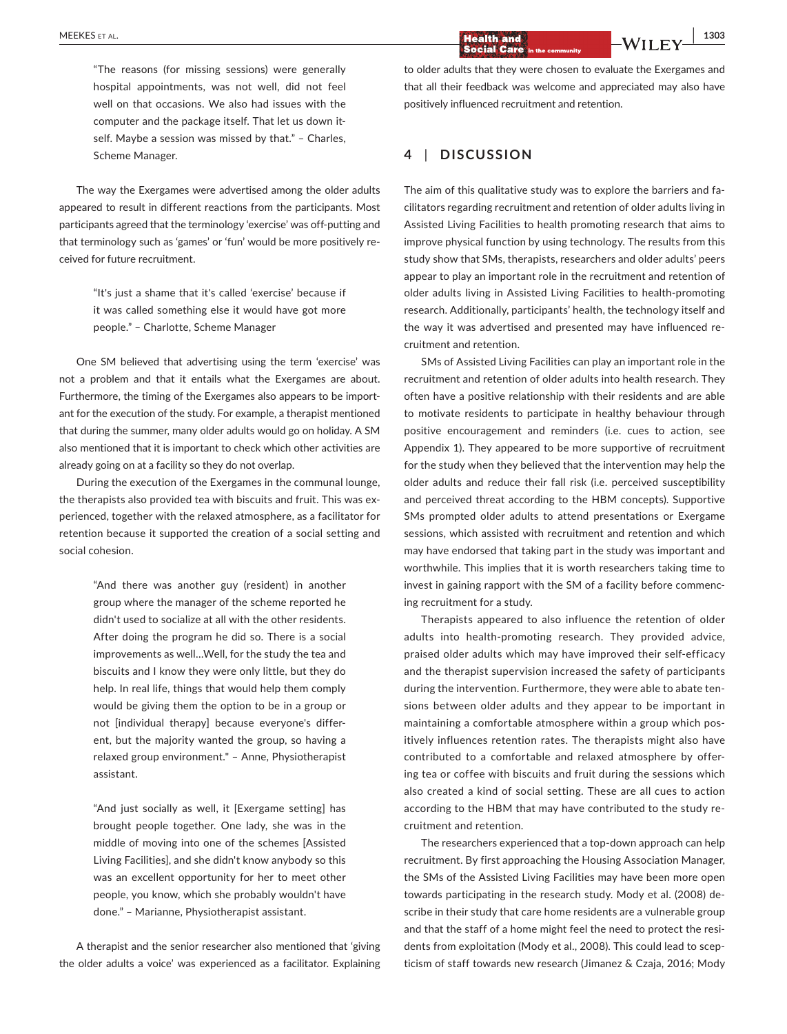"The reasons (for missing sessions) were generally hospital appointments, was not well, did not feel well on that occasions. We also had issues with the computer and the package itself. That let us down itself. Maybe a session was missed by that." – Charles, Scheme Manager.

The way the Exergames were advertised among the older adults appeared to result in different reactions from the participants. Most participants agreed that the terminology 'exercise' was off-putting and that terminology such as 'games' or 'fun' would be more positively received for future recruitment.

> "It's just a shame that it's called 'exercise' because if it was called something else it would have got more people." – Charlotte, Scheme Manager

One SM believed that advertising using the term 'exercise' was not a problem and that it entails what the Exergames are about. Furthermore, the timing of the Exergames also appears to be important for the execution of the study. For example, a therapist mentioned that during the summer, many older adults would go on holiday. A SM also mentioned that it is important to check which other activities are already going on at a facility so they do not overlap.

During the execution of the Exergames in the communal lounge, the therapists also provided tea with biscuits and fruit. This was experienced, together with the relaxed atmosphere, as a facilitator for retention because it supported the creation of a social setting and social cohesion.

> "And there was another guy (resident) in another group where the manager of the scheme reported he didn't used to socialize at all with the other residents. After doing the program he did so. There is a social improvements as well…Well, for the study the tea and biscuits and I know they were only little, but they do help. In real life, things that would help them comply would be giving them the option to be in a group or not [individual therapy] because everyone's different, but the majority wanted the group, so having a relaxed group environment." – Anne, Physiotherapist assistant.

> "And just socially as well, it [Exergame setting] has brought people together. One lady, she was in the middle of moving into one of the schemes [Assisted Living Facilities], and she didn't know anybody so this was an excellent opportunity for her to meet other people, you know, which she probably wouldn't have done." – Marianne, Physiotherapist assistant.

A therapist and the senior researcher also mentioned that 'giving the older adults a voice' was experienced as a facilitator. Explaining

to older adults that they were chosen to evaluate the Exergames and that all their feedback was welcome and appreciated may also have positively influenced recruitment and retention.

## **4** | **DISCUSSION**

The aim of this qualitative study was to explore the barriers and facilitators regarding recruitment and retention of older adults living in Assisted Living Facilities to health promoting research that aims to improve physical function by using technology. The results from this study show that SMs, therapists, researchers and older adults' peers appear to play an important role in the recruitment and retention of older adults living in Assisted Living Facilities to health-promoting research. Additionally, participants' health, the technology itself and the way it was advertised and presented may have influenced recruitment and retention.

SMs of Assisted Living Facilities can play an important role in the recruitment and retention of older adults into health research. They often have a positive relationship with their residents and are able to motivate residents to participate in healthy behaviour through positive encouragement and reminders (i.e. cues to action, see Appendix 1). They appeared to be more supportive of recruitment for the study when they believed that the intervention may help the older adults and reduce their fall risk (i.e. perceived susceptibility and perceived threat according to the HBM concepts). Supportive SMs prompted older adults to attend presentations or Exergame sessions, which assisted with recruitment and retention and which may have endorsed that taking part in the study was important and worthwhile. This implies that it is worth researchers taking time to invest in gaining rapport with the SM of a facility before commencing recruitment for a study.

Therapists appeared to also influence the retention of older adults into health-promoting research. They provided advice, praised older adults which may have improved their self-efficacy and the therapist supervision increased the safety of participants during the intervention. Furthermore, they were able to abate tensions between older adults and they appear to be important in maintaining a comfortable atmosphere within a group which positively influences retention rates. The therapists might also have contributed to a comfortable and relaxed atmosphere by offering tea or coffee with biscuits and fruit during the sessions which also created a kind of social setting. These are all cues to action according to the HBM that may have contributed to the study recruitment and retention.

The researchers experienced that a top-down approach can help recruitment. By first approaching the Housing Association Manager, the SMs of the Assisted Living Facilities may have been more open towards participating in the research study. Mody et al. (2008) describe in their study that care home residents are a vulnerable group and that the staff of a home might feel the need to protect the residents from exploitation (Mody et al., 2008). This could lead to scepticism of staff towards new research (Jimanez & Czaja, 2016; Mody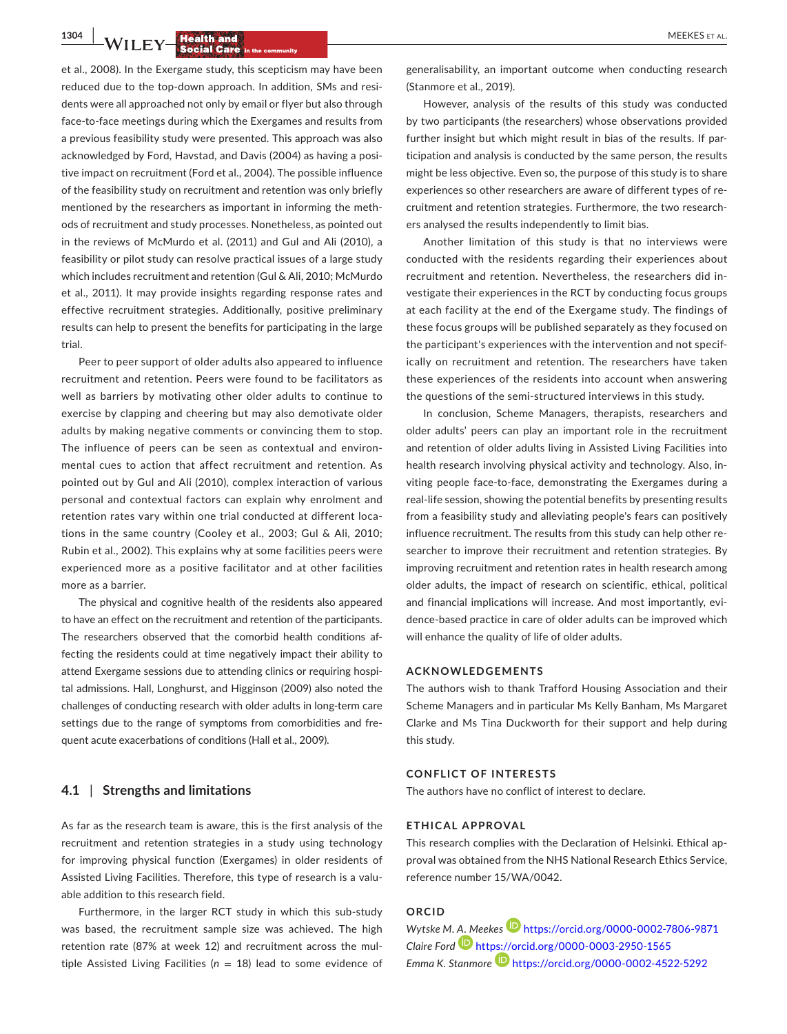**1304 | IA/II F.Y. Health and <b>Contract and Contract and Contract and Contract and Contract and Contract and Contract and Contract and Contract and Contract and Contract and Contract and Contract and Contract and Contrac** 

et al., 2008). In the Exergame study, this scepticism may have been reduced due to the top-down approach. In addition, SMs and residents were all approached not only by email or flyer but also through face-to-face meetings during which the Exergames and results from a previous feasibility study were presented. This approach was also acknowledged by Ford, Havstad, and Davis (2004) as having a positive impact on recruitment (Ford et al., 2004). The possible influence of the feasibility study on recruitment and retention was only briefly mentioned by the researchers as important in informing the methods of recruitment and study processes. Nonetheless, as pointed out in the reviews of McMurdo et al. (2011) and Gul and Ali (2010), a feasibility or pilot study can resolve practical issues of a large study which includes recruitment and retention (Gul & Ali, 2010; McMurdo et al., 2011). It may provide insights regarding response rates and effective recruitment strategies. Additionally, positive preliminary results can help to present the benefits for participating in the large trial.

Peer to peer support of older adults also appeared to influence recruitment and retention. Peers were found to be facilitators as well as barriers by motivating other older adults to continue to exercise by clapping and cheering but may also demotivate older adults by making negative comments or convincing them to stop. The influence of peers can be seen as contextual and environmental cues to action that affect recruitment and retention. As pointed out by Gul and Ali (2010), complex interaction of various personal and contextual factors can explain why enrolment and retention rates vary within one trial conducted at different locations in the same country (Cooley et al., 2003; Gul & Ali, 2010; Rubin et al., 2002). This explains why at some facilities peers were experienced more as a positive facilitator and at other facilities more as a barrier.

The physical and cognitive health of the residents also appeared to have an effect on the recruitment and retention of the participants. The researchers observed that the comorbid health conditions affecting the residents could at time negatively impact their ability to attend Exergame sessions due to attending clinics or requiring hospital admissions. Hall, Longhurst, and Higginson (2009) also noted the challenges of conducting research with older adults in long-term care settings due to the range of symptoms from comorbidities and frequent acute exacerbations of conditions (Hall et al., 2009).

## **4.1** | **Strengths and limitations**

As far as the research team is aware, this is the first analysis of the recruitment and retention strategies in a study using technology for improving physical function (Exergames) in older residents of Assisted Living Facilities. Therefore, this type of research is a valuable addition to this research field.

Furthermore, in the larger RCT study in which this sub-study was based, the recruitment sample size was achieved. The high retention rate (87% at week 12) and recruitment across the multiple Assisted Living Facilities (*n* = 18) lead to some evidence of

generalisability, an important outcome when conducting research (Stanmore et al., 2019).

However, analysis of the results of this study was conducted by two participants (the researchers) whose observations provided further insight but which might result in bias of the results. If participation and analysis is conducted by the same person, the results might be less objective. Even so, the purpose of this study is to share experiences so other researchers are aware of different types of recruitment and retention strategies. Furthermore, the two researchers analysed the results independently to limit bias.

Another limitation of this study is that no interviews were conducted with the residents regarding their experiences about recruitment and retention. Nevertheless, the researchers did investigate their experiences in the RCT by conducting focus groups at each facility at the end of the Exergame study. The findings of these focus groups will be published separately as they focused on the participant's experiences with the intervention and not specifically on recruitment and retention. The researchers have taken these experiences of the residents into account when answering the questions of the semi-structured interviews in this study.

In conclusion, Scheme Managers, therapists, researchers and older adults' peers can play an important role in the recruitment and retention of older adults living in Assisted Living Facilities into health research involving physical activity and technology. Also, inviting people face-to-face, demonstrating the Exergames during a real-life session, showing the potential benefits by presenting results from a feasibility study and alleviating people's fears can positively influence recruitment. The results from this study can help other researcher to improve their recruitment and retention strategies. By improving recruitment and retention rates in health research among older adults, the impact of research on scientific, ethical, political and financial implications will increase. And most importantly, evidence-based practice in care of older adults can be improved which will enhance the quality of life of older adults.

#### **ACKNOWLEDGEMENTS**

The authors wish to thank Trafford Housing Association and their Scheme Managers and in particular Ms Kelly Banham, Ms Margaret Clarke and Ms Tina Duckworth for their support and help during this study.

#### **CONFLICT OF INTERESTS**

The authors have no conflict of interest to declare.

#### **ETHICAL APPROVAL**

This research complies with the Declaration of Helsinki. Ethical approval was obtained from the NHS National Research Ethics Service, reference number 15/WA/0042.

## **ORCID**

Wytske M. [A. M](https://orcid.org/0000-0003-2950-1565)eekes<sup>D</sup> <https://orcid.org/0000-0002-7806-9871> *Claire Ford* <https://orcid.org/0000-0003-2950-1565> *Emma K. Stanmore* <https://orcid.org/0000-0002-4522-5292>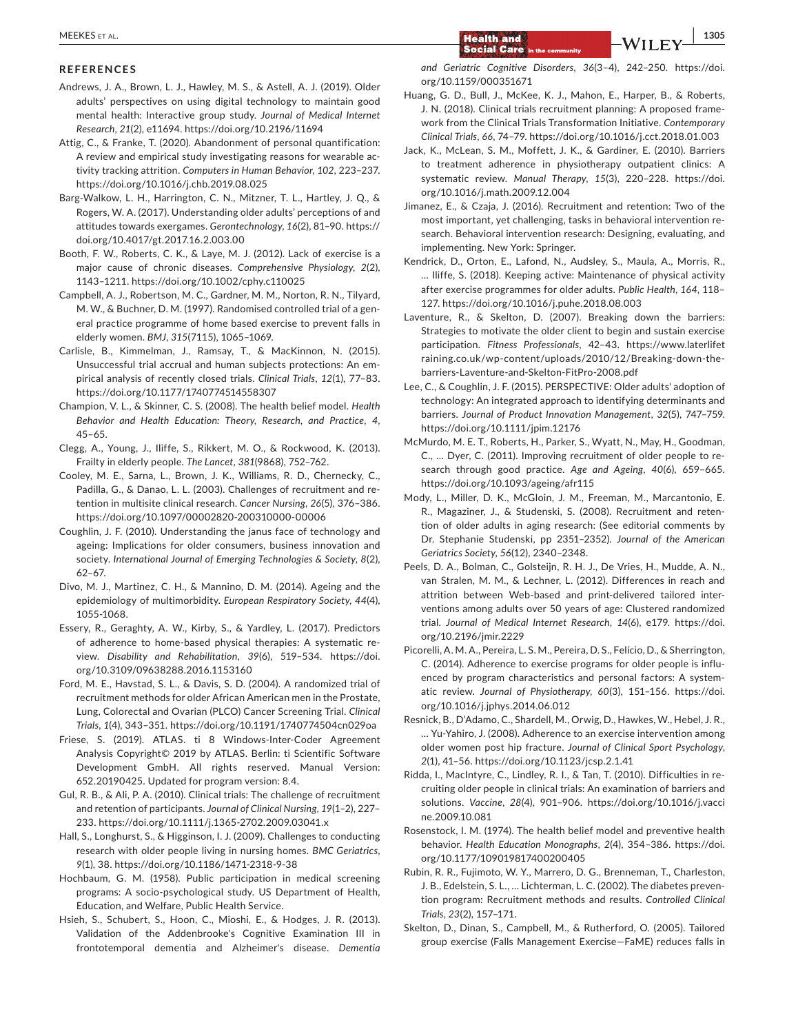#### **REFERENCES**

- Andrews, J. A., Brown, L. J., Hawley, M. S., & Astell, A. J. (2019). Older adults' perspectives on using digital technology to maintain good mental health: Interactive group study. *Journal of Medical Internet Research*, *21*(2), e11694. <https://doi.org/10.2196/11694>
- Attig, C., & Franke, T. (2020). Abandonment of personal quantification: A review and empirical study investigating reasons for wearable activity tracking attrition. *Computers in Human Behavior*, *102*, 223–237. <https://doi.org/10.1016/j.chb.2019.08.025>
- Barg-Walkow, L. H., Harrington, C. N., Mitzner, T. L., Hartley, J. Q., & Rogers, W. A. (2017). Understanding older adults' perceptions of and attitudes towards exergames. *Gerontechnology*, *16*(2), 81–90. [https://](https://doi.org/10.4017/gt.2017.16.2.003.00) [doi.org/10.4017/gt.2017.16.2.003.00](https://doi.org/10.4017/gt.2017.16.2.003.00)
- Booth, F. W., Roberts, C. K., & Laye, M. J. (2012). Lack of exercise is a major cause of chronic diseases. *Comprehensive Physiology*, *2*(2), 1143–1211. <https://doi.org/10.1002/cphy.c110025>
- Campbell, A. J., Robertson, M. C., Gardner, M. M., Norton, R. N., Tilyard, M. W., & Buchner, D. M. (1997). Randomised controlled trial of a general practice programme of home based exercise to prevent falls in elderly women. *BMJ*, *315*(7115), 1065–1069.
- Carlisle, B., Kimmelman, J., Ramsay, T., & MacKinnon, N. (2015). Unsuccessful trial accrual and human subjects protections: An empirical analysis of recently closed trials. *Clinical Trials*, *12*(1), 77–83. <https://doi.org/10.1177/1740774514558307>
- Champion, V. L., & Skinner, C. S. (2008). The health belief model. *Health Behavior and Health Education: Theory, Research, and Practice*, *4*, 45–65.
- Clegg, A., Young, J., Iliffe, S., Rikkert, M. O., & Rockwood, K. (2013). Frailty in elderly people. *The Lancet*, *381*(9868), 752–762.
- Cooley, M. E., Sarna, L., Brown, J. K., Williams, R. D., Chernecky, C., Padilla, G., & Danao, L. L. (2003). Challenges of recruitment and retention in multisite clinical research. *Cancer Nursing*, *26*(5), 376–386. <https://doi.org/10.1097/00002820-200310000-00006>
- Coughlin, J. F. (2010). Understanding the janus face of technology and ageing: Implications for older consumers, business innovation and society. *International Journal of Emerging Technologies & Society*, *8*(2), 62–67.
- Divo, M. J., Martinez, C. H., & Mannino, D. M. (2014). Ageing and the epidemiology of multimorbidity. *European Respiratory Society*, *44*(4), 1055-1068.
- Essery, R., Geraghty, A. W., Kirby, S., & Yardley, L. (2017). Predictors of adherence to home-based physical therapies: A systematic review. *Disability and Rehabilitation*, *39*(6), 519–534. [https://doi.](https://doi.org/10.3109/09638288.2016.1153160) [org/10.3109/09638288.2016.1153160](https://doi.org/10.3109/09638288.2016.1153160)
- Ford, M. E., Havstad, S. L., & Davis, S. D. (2004). A randomized trial of recruitment methods for older African American men in the Prostate, Lung, Colorectal and Ovarian (PLCO) Cancer Screening Trial. *Clinical Trials*, *1*(4), 343–351. <https://doi.org/10.1191/1740774504cn029oa>
- Friese, S. (2019). ATLAS. ti 8 Windows-Inter-Coder Agreement Analysis Copyright© 2019 by ATLAS. Berlin: ti Scientific Software Development GmbH. All rights reserved. Manual Version: 652.20190425. Updated for program version: 8.4.
- Gul, R. B., & Ali, P. A. (2010). Clinical trials: The challenge of recruitment and retention of participants. *Journal of Clinical Nursing*, *19*(1–2), 227– 233. <https://doi.org/10.1111/j.1365-2702.2009.03041.x>
- Hall, S., Longhurst, S., & Higginson, I. J. (2009). Challenges to conducting research with older people living in nursing homes. *BMC Geriatrics*, *9*(1), 38. <https://doi.org/10.1186/1471-2318-9-38>
- Hochbaum, G. M. (1958). Public participation in medical screening programs: A socio-psychological study. US Department of Health, Education, and Welfare, Public Health Service.
- Hsieh, S., Schubert, S., Hoon, C., Mioshi, E., & Hodges, J. R. (2013). Validation of the Addenbrooke's Cognitive Examination III in frontotemporal dementia and Alzheimer's disease. *Dementia*

*and Geriatric Cognitive Disorders*, *36*(3–4), 242–250. [https://doi.](https://doi.org/10.1159/000351671) [org/10.1159/000351671](https://doi.org/10.1159/000351671)

- Huang, G. D., Bull, J., McKee, K. J., Mahon, E., Harper, B., & Roberts, J. N. (2018). Clinical trials recruitment planning: A proposed framework from the Clinical Trials Transformation Initiative. *Contemporary Clinical Trials*, *66*, 74–79. <https://doi.org/10.1016/j.cct.2018.01.003>
- Jack, K., McLean, S. M., Moffett, J. K., & Gardiner, E. (2010). Barriers to treatment adherence in physiotherapy outpatient clinics: A systematic review. *Manual Therapy*, *15*(3), 220–228. [https://doi.](https://doi.org/10.1016/j.math.2009.12.004) [org/10.1016/j.math.2009.12.004](https://doi.org/10.1016/j.math.2009.12.004)
- Jimanez, E., & Czaja, J. (2016). Recruitment and retention: Two of the most important, yet challenging, tasks in behavioral intervention research. Behavioral intervention research: Designing, evaluating, and implementing. New York: Springer.
- Kendrick, D., Orton, E., Lafond, N., Audsley, S., Maula, A., Morris, R., … Iliffe, S. (2018). Keeping active: Maintenance of physical activity after exercise programmes for older adults. *Public Health*, *164*, 118– 127. <https://doi.org/10.1016/j.puhe.2018.08.003>
- Laventure, R., & Skelton, D. (2007). Breaking down the barriers: Strategies to motivate the older client to begin and sustain exercise participation. *Fitness Professionals*, 42–43. [https://www.laterlifet](https://www.laterlifetraining.co.uk/wp-content/uploads/2010/12/Breaking-down-the-barriers-Laventure-and-Skelton-FitPro-2008.pdf) [raining.co.uk/wp-content/uploads/2010/12/Breaking-down-the](https://www.laterlifetraining.co.uk/wp-content/uploads/2010/12/Breaking-down-the-barriers-Laventure-and-Skelton-FitPro-2008.pdf)[barriers-Laventure-and-Skelton-FitPro-2008.pdf](https://www.laterlifetraining.co.uk/wp-content/uploads/2010/12/Breaking-down-the-barriers-Laventure-and-Skelton-FitPro-2008.pdf)
- Lee, C., & Coughlin, J. F. (2015). PERSPECTIVE: Older adults' adoption of technology: An integrated approach to identifying determinants and barriers. *Journal of Product Innovation Management*, *32*(5), 747–759. <https://doi.org/10.1111/jpim.12176>
- McMurdo, M. E. T., Roberts, H., Parker, S., Wyatt, N., May, H., Goodman, C., … Dyer, C. (2011). Improving recruitment of older people to research through good practice. *Age and Ageing*, *40*(6), 659–665. <https://doi.org/10.1093/ageing/afr115>
- Mody, L., Miller, D. K., McGloin, J. M., Freeman, M., Marcantonio, E. R., Magaziner, J., & Studenski, S. (2008). Recruitment and retention of older adults in aging research: (See editorial comments by Dr. Stephanie Studenski, pp 2351–2352). *Journal of the American Geriatrics Society*, *56*(12), 2340–2348.
- Peels, D. A., Bolman, C., Golsteijn, R. H. J., De Vries, H., Mudde, A. N., van Stralen, M. M., & Lechner, L. (2012). Differences in reach and attrition between Web-based and print-delivered tailored interventions among adults over 50 years of age: Clustered randomized trial. *Journal of Medical Internet Research*, *14*(6), e179. [https://doi.](https://doi.org/10.2196/jmir.2229) [org/10.2196/jmir.2229](https://doi.org/10.2196/jmir.2229)
- Picorelli, A. M. A., Pereira, L. S. M., Pereira, D. S., Felício, D., & Sherrington, C. (2014). Adherence to exercise programs for older people is influenced by program characteristics and personal factors: A systematic review. *Journal of Physiotherapy*, *60*(3), 151–156. [https://doi.](https://doi.org/10.1016/j.jphys.2014.06.012) [org/10.1016/j.jphys.2014.06.012](https://doi.org/10.1016/j.jphys.2014.06.012)
- Resnick, B., D'Adamo, C., Shardell, M., Orwig, D., Hawkes, W., Hebel, J. R., … Yu-Yahiro, J. (2008). Adherence to an exercise intervention among older women post hip fracture. *Journal of Clinical Sport Psychology*, *2*(1), 41–56. <https://doi.org/10.1123/jcsp.2.1.41>
- Ridda, I., MacIntyre, C., Lindley, R. I., & Tan, T. (2010). Difficulties in recruiting older people in clinical trials: An examination of barriers and solutions. *Vaccine*, *28*(4), 901–906. [https://doi.org/10.1016/j.vacci](https://doi.org/10.1016/j.vaccine.2009.10.081) [ne.2009.10.081](https://doi.org/10.1016/j.vaccine.2009.10.081)
- Rosenstock, I. M. (1974). The health belief model and preventive health behavior. *Health Education Monographs*, *2*(4), 354–386. [https://doi.](https://doi.org/10.1177/109019817400200405) [org/10.1177/109019817400200405](https://doi.org/10.1177/109019817400200405)
- Rubin, R. R., Fujimoto, W. Y., Marrero, D. G., Brenneman, T., Charleston, J. B., Edelstein, S. L., … Lichterman, L. C. (2002). The diabetes prevention program: Recruitment methods and results. *Controlled Clinical Trials*, *23*(2), 157–171.
- Skelton, D., Dinan, S., Campbell, M., & Rutherford, O. (2005). Tailored group exercise (Falls Management Exercise—FaME) reduces falls in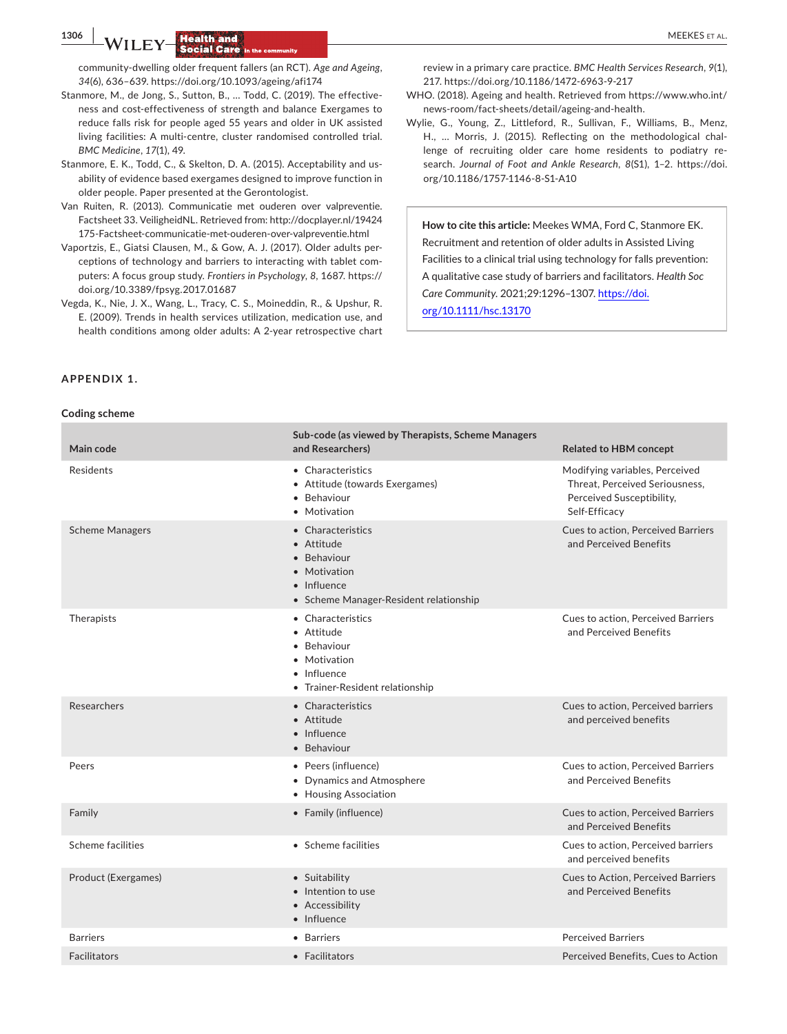**1306 | IA/II F.Y. Health and <b>a** contract the contract of all the contract of all the contract of all the contract of all the contract of all the contract of all the contract of all the contract of all the contract of a **Social Care in the** 

community-dwelling older frequent fallers (an RCT). *Age and Ageing*, *34*(6), 636–639. <https://doi.org/10.1093/ageing/afi174>

- Stanmore, M., de Jong, S., Sutton, B., … Todd, C. (2019). The effectiveness and cost-effectiveness of strength and balance Exergames to reduce falls risk for people aged 55 years and older in UK assisted living facilities: A multi-centre, cluster randomised controlled trial. *BMC Medicine*, *17*(1), 49.
- Stanmore, E. K., Todd, C., & Skelton, D. A. (2015). Acceptability and usability of evidence based exergames designed to improve function in older people. Paper presented at the Gerontologist.
- Van Ruiten, R. (2013). Communicatie met ouderen over valpreventie. Factsheet 33. VeiligheidNL. Retrieved from: [http://docplayer.nl/19424](VeiligheidNL.Retrieved from: http://docplayer.nl/19424175-Factsheet-communicatie-met-ouderen-over-valpreventie.html) [175-Factsheet-communicatie-met-ouderen-over-valpreventie.html](VeiligheidNL.Retrieved from: http://docplayer.nl/19424175-Factsheet-communicatie-met-ouderen-over-valpreventie.html)
- Vaportzis, E., Giatsi Clausen, M., & Gow, A. J. (2017). Older adults perceptions of technology and barriers to interacting with tablet computers: A focus group study. *Frontiers in Psychology*, *8*, 1687. [https://](https://doi.org/10.3389/fpsyg.2017.01687) [doi.org/10.3389/fpsyg.2017.01687](https://doi.org/10.3389/fpsyg.2017.01687)
- Vegda, K., Nie, J. X., Wang, L., Tracy, C. S., Moineddin, R., & Upshur, R. E. (2009). Trends in health services utilization, medication use, and health conditions among older adults: A 2-year retrospective chart

**APPENDIX 1.**

#### **Coding scheme**

review in a primary care practice. *BMC Health Services Research*, *9*(1), 217.<https://doi.org/10.1186/1472-6963-9-217>

- WHO. (2018). Ageing and health. Retrieved from [https://www.who.int/](https://www.who.int/news-room/fact-sheets/detail/ageing-and-health) [news-room/fact-sheets/detail/ageing-and-health](https://www.who.int/news-room/fact-sheets/detail/ageing-and-health).
- Wylie, G., Young, Z., Littleford, R., Sullivan, F., Williams, B., Menz, H., … Morris, J. (2015). Reflecting on the methodological challenge of recruiting older care home residents to podiatry research. *Journal of Foot and Ankle Research*, *8*(S1), 1–2. [https://doi.](https://doi.org/10.1186/1757-1146-8-S1-A10) [org/10.1186/1757-1146-8-S1-A10](https://doi.org/10.1186/1757-1146-8-S1-A10)

## **How to cite this article:** Meekes WMA, Ford C, Stanmore EK.

Recruitment and retention of older adults in Assisted Living Facilities to a clinical trial using technology for falls prevention: A qualitative case study of barriers and facilitators. *Health Soc Care Community*. 2021;29:1296–1307. [https://doi.](https://doi.org/10.1111/hsc.13170)

[org/10.1111/hsc.13170](https://doi.org/10.1111/hsc.13170)

| Main code              | Sub-code (as viewed by Therapists, Scheme Managers<br>and Researchers)                                                  | <b>Related to HBM concept</b>                                                                                  |
|------------------------|-------------------------------------------------------------------------------------------------------------------------|----------------------------------------------------------------------------------------------------------------|
| Residents              | • Characteristics<br>• Attitude (towards Exergames)<br>• Behaviour<br>• Motivation                                      | Modifying variables, Perceived<br>Threat, Perceived Seriousness,<br>Perceived Susceptibility,<br>Self-Efficacy |
| <b>Scheme Managers</b> | • Characteristics<br>• Attitude<br>• Behaviour<br>• Motivation<br>• Influence<br>• Scheme Manager-Resident relationship | Cues to action, Perceived Barriers<br>and Perceived Benefits                                                   |
| Therapists             | • Characteristics<br>• Attitude<br>• Behaviour<br>• Motivation<br>• Influence<br>• Trainer-Resident relationship        | <b>Cues to action, Perceived Barriers</b><br>and Perceived Benefits                                            |
| Researchers            | • Characteristics<br>• Attitude<br>• Influence<br>• Behaviour                                                           | Cues to action, Perceived barriers<br>and perceived benefits                                                   |
| Peers                  | • Peers (influence)<br>• Dynamics and Atmosphere<br>• Housing Association                                               | Cues to action, Perceived Barriers<br>and Perceived Benefits                                                   |
| Family                 | • Family (influence)                                                                                                    | Cues to action, Perceived Barriers<br>and Perceived Benefits                                                   |
| Scheme facilities      | • Scheme facilities                                                                                                     | Cues to action, Perceived barriers<br>and perceived benefits                                                   |
| Product (Exergames)    | • Suitability<br>• Intention to use<br>• Accessibility<br>• Influence                                                   | <b>Cues to Action, Perceived Barriers</b><br>and Perceived Benefits                                            |
| <b>Barriers</b>        | • Barriers                                                                                                              | <b>Perceived Barriers</b>                                                                                      |
| <b>Facilitators</b>    | • Facilitators                                                                                                          | Perceived Benefits, Cues to Action                                                                             |